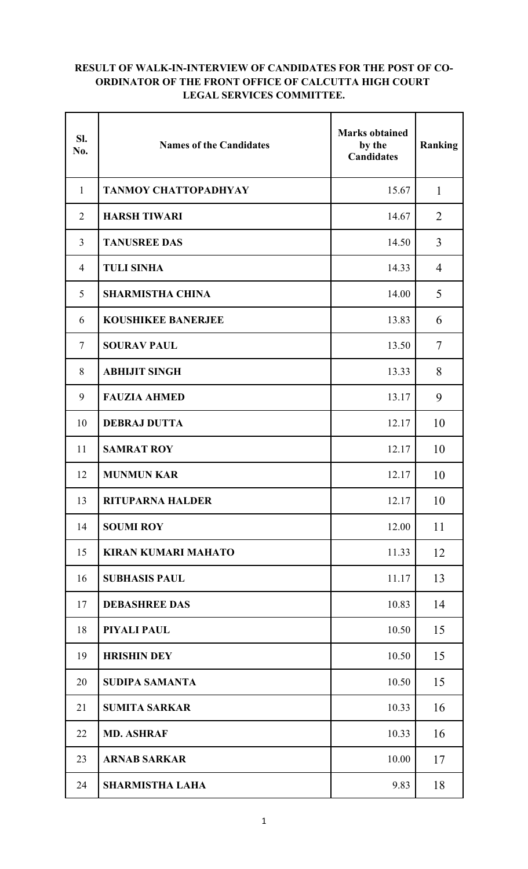## **RESULT OF WALK-IN-INTERVIEW OF CANDIDATES FOR THE POST OF CO-ORDINATOR OF THE FRONT OFFICE OF CALCUTTA HIGH COURT LEGAL SERVICES COMMITTEE.**

| SI.<br>No.     | <b>Names of the Candidates</b> | <b>Marks obtained</b><br>by the<br><b>Candidates</b> | Ranking        |
|----------------|--------------------------------|------------------------------------------------------|----------------|
| $\mathbf{1}$   | <b>TANMOY CHATTOPADHYAY</b>    | 15.67                                                | $\mathbf{1}$   |
| $\overline{2}$ | <b>HARSH TIWARI</b>            | 14.67                                                | 2              |
| $\overline{3}$ | <b>TANUSREE DAS</b>            | 14.50                                                | $\overline{3}$ |
| $\overline{4}$ | <b>TULI SINHA</b>              | 14.33                                                | 4              |
| 5              | <b>SHARMISTHA CHINA</b>        | 14.00                                                | 5              |
| 6              | <b>KOUSHIKEE BANERJEE</b>      | 13.83                                                | 6              |
| $\overline{7}$ | <b>SOURAV PAUL</b>             | 13.50                                                | $\overline{7}$ |
| 8              | <b>ABHIJIT SINGH</b>           | 13.33                                                | 8              |
| 9              | <b>FAUZIA AHMED</b>            | 13.17                                                | 9              |
| 10             | <b>DEBRAJ DUTTA</b>            | 12.17                                                | 10             |
| 11             | <b>SAMRAT ROY</b>              | 12.17                                                | 10             |
| 12             | <b>MUNMUN KAR</b>              | 12.17                                                | 10             |
| 13             | <b>RITUPARNA HALDER</b>        | 12.17                                                | 10             |
| 14             | <b>SOUMI ROY</b>               | 12.00                                                | 11             |
| 15             | <b>KIRAN KUMARI MAHATO</b>     | 11.33                                                | 12             |
| 16             | <b>SUBHASIS PAUL</b>           | 11.17                                                | 13             |
| 17             | <b>DEBASHREE DAS</b>           | 10.83                                                | 14             |
| 18             | PIYALI PAUL                    | 10.50                                                | 15             |
| 19             | <b>HRISHIN DEY</b>             | 10.50                                                | 15             |
| 20             | <b>SUDIPA SAMANTA</b>          | 10.50                                                | 15             |
| 21             | <b>SUMITA SARKAR</b>           | 10.33                                                | 16             |
| 22             | <b>MD. ASHRAF</b>              | 10.33                                                | 16             |
| 23             | <b>ARNAB SARKAR</b>            | 10.00                                                | 17             |
| 24             | <b>SHARMISTHA LAHA</b>         | 9.83                                                 | 18             |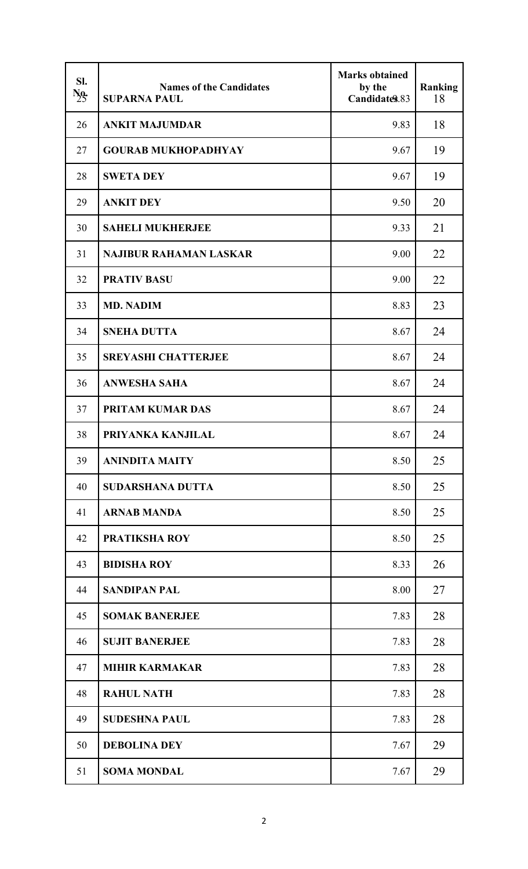| SI.<br>$\frac{N_0}{25}$ | <b>Names of the Candidates</b><br><b>SUPARNA PAUL</b> | <b>Marks obtained</b><br>by the<br>Candidates.83 | <b>Ranking</b><br>18 |
|-------------------------|-------------------------------------------------------|--------------------------------------------------|----------------------|
| 26                      | <b>ANKIT MAJUMDAR</b>                                 | 9.83                                             | 18                   |
| 27                      | <b>GOURAB MUKHOPADHYAY</b>                            | 9.67                                             | 19                   |
| 28                      | <b>SWETA DEY</b>                                      | 9.67                                             | 19                   |
| 29                      | <b>ANKIT DEY</b>                                      | 9.50                                             | 20                   |
| 30                      | <b>SAHELI MUKHERJEE</b>                               | 9.33                                             | 21                   |
| 31                      | <b>NAJIBUR RAHAMAN LASKAR</b>                         | 9.00                                             | 22                   |
| 32                      | <b>PRATIV BASU</b>                                    | 9.00                                             | 22                   |
| 33                      | <b>MD. NADIM</b>                                      | 8.83                                             | 23                   |
| 34                      | <b>SNEHA DUTTA</b>                                    | 8.67                                             | 24                   |
| 35                      | <b>SREYASHI CHATTERJEE</b>                            | 8.67                                             | 24                   |
| 36                      | <b>ANWESHA SAHA</b>                                   | 8.67                                             | 24                   |
| 37                      | <b>PRITAM KUMAR DAS</b>                               | 8.67                                             | 24                   |
| 38                      | PRIYANKA KANJILAL                                     | 8.67                                             | 24                   |
| 39                      | <b>ANINDITA MAITY</b>                                 | 8.50                                             | 25                   |
| 40                      | <b>SUDARSHANA DUTTA</b>                               | 8.50                                             | 25                   |
| 41                      | <b>ARNAB MANDA</b>                                    | 8.50                                             | 25                   |
| 42                      | <b>PRATIKSHA ROY</b>                                  | 8.50                                             | 25                   |
| 43                      | <b>BIDISHA ROY</b>                                    | 8.33                                             | 26                   |
| 44                      | <b>SANDIPAN PAL</b>                                   | 8.00                                             | 27                   |
| 45                      | <b>SOMAK BANERJEE</b>                                 | 7.83                                             | 28                   |
| 46                      | <b>SUJIT BANERJEE</b>                                 | 7.83                                             | 28                   |
| 47                      | <b>MIHIR KARMAKAR</b>                                 | 7.83                                             | 28                   |
| 48                      | <b>RAHUL NATH</b>                                     | 7.83                                             | 28                   |
| 49                      | <b>SUDESHNA PAUL</b>                                  | 7.83                                             | 28                   |
| 50                      | <b>DEBOLINA DEY</b>                                   | 7.67                                             | 29                   |
| 51                      | <b>SOMA MONDAL</b>                                    | 7.67                                             | 29                   |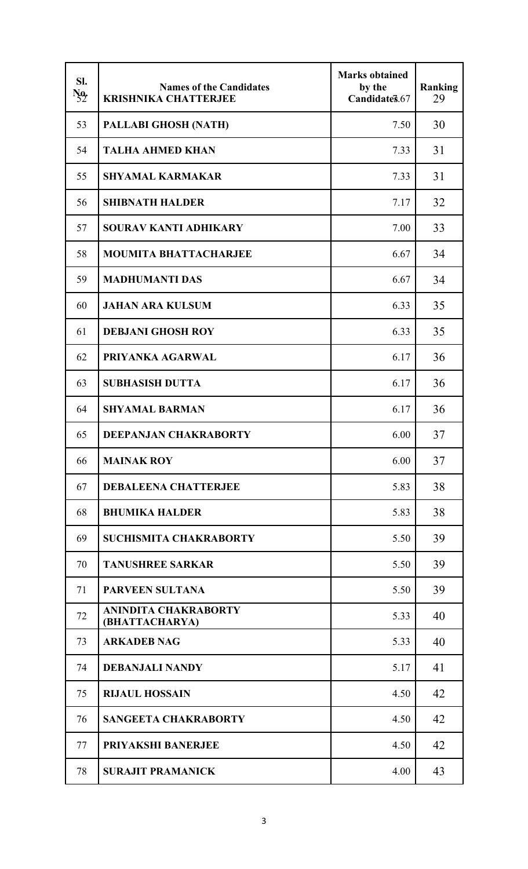| SI.<br>$N_2$ | <b>Names of the Candidates</b><br><b>KRISHNIKA CHATTERJEE</b> | <b>Marks obtained</b><br>by the<br>Candidate §.67 | <b>Ranking</b><br>29 |
|--------------|---------------------------------------------------------------|---------------------------------------------------|----------------------|
| 53           | PALLABI GHOSH (NATH)                                          | 7.50                                              | 30                   |
| 54           | <b>TALHA AHMED KHAN</b>                                       | 7.33                                              | 31                   |
| 55           | <b>SHYAMAL KARMAKAR</b>                                       | 7.33                                              | 31                   |
| 56           | <b>SHIBNATH HALDER</b>                                        | 7.17                                              | 32                   |
| 57           | <b>SOURAV KANTI ADHIKARY</b>                                  | 7.00                                              | 33                   |
| 58           | <b>MOUMITA BHATTACHARJEE</b>                                  | 6.67                                              | 34                   |
| 59           | <b>MADHUMANTI DAS</b>                                         | 6.67                                              | 34                   |
| 60           | <b>JAHAN ARA KULSUM</b>                                       | 6.33                                              | 35                   |
| 61           | <b>DEBJANI GHOSH ROY</b>                                      | 6.33                                              | 35                   |
| 62           | PRIYANKA AGARWAL                                              | 6.17                                              | 36                   |
| 63           | <b>SUBHASISH DUTTA</b>                                        | 6.17                                              | 36                   |
| 64           | <b>SHYAMAL BARMAN</b>                                         | 6.17                                              | 36                   |
| 65           | <b>DEEPANJAN CHAKRABORTY</b>                                  | 6.00                                              | 37                   |
| 66           | <b>MAINAK ROY</b>                                             | 6.00                                              | 37                   |
| 67           | <b>DEBALEENA CHATTERJEE</b>                                   | 5.83                                              | 38                   |
| 68           | <b>BHUMIKA HALDER</b>                                         | 5.83                                              | 38                   |
| 69           | <b>SUCHISMITA CHAKRABORTY</b>                                 | 5.50                                              | 39                   |
| 70           | <b>TANUSHREE SARKAR</b>                                       | 5.50                                              | 39                   |
| 71           | <b>PARVEEN SULTANA</b>                                        | 5.50                                              | 39                   |
| 72           | <b>ANINDITA CHAKRABORTY</b><br>(BHATTACHARYA)                 | 5.33                                              | 40                   |
| 73           | <b>ARKADEB NAG</b>                                            | 5.33                                              | 40                   |
| 74           | <b>DEBANJALI NANDY</b>                                        | 5.17                                              | 41                   |
| 75           | <b>RIJAUL HOSSAIN</b>                                         | 4.50                                              | 42                   |
| 76           | <b>SANGEETA CHAKRABORTY</b>                                   | 4.50                                              | 42                   |
| 77           | <b>PRIYAKSHI BANERJEE</b>                                     | 4.50                                              | 42                   |
| 78           | <b>SURAJIT PRAMANICK</b>                                      | 4.00                                              | 43                   |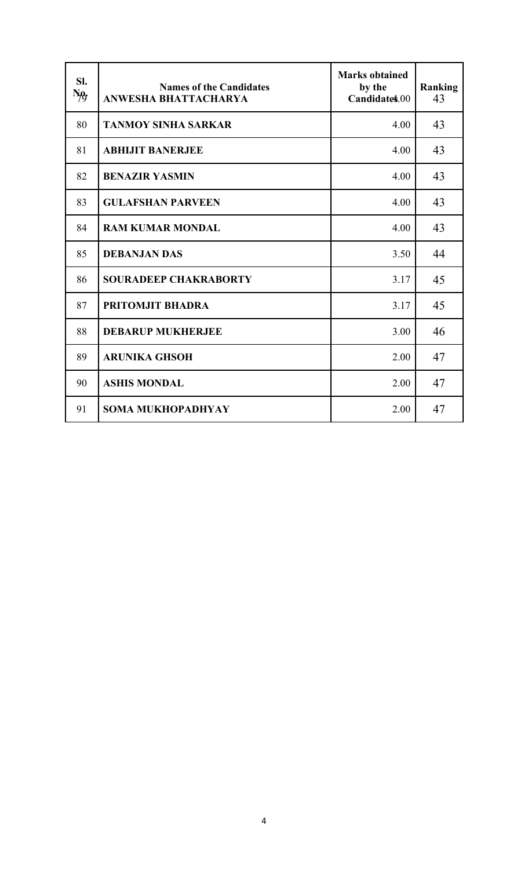| SI.<br>Ng, | <b>Names of the Candidates</b><br><b>ANWESHA BHATTACHARYA</b> | <b>Marks obtained</b><br>by the<br>Candidates.00 | Ranking<br>43 |
|------------|---------------------------------------------------------------|--------------------------------------------------|---------------|
| 80         | <b>TANMOY SINHA SARKAR</b>                                    | 4.00                                             | 43            |
| 81         | <b>ABHIJIT BANERJEE</b>                                       | 4.00                                             | 43            |
| 82         | <b>BENAZIR YASMIN</b>                                         | 4.00                                             | 43            |
| 83         | <b>GULAFSHAN PARVEEN</b>                                      | 4.00                                             | 43            |
| 84         | <b>RAM KUMAR MONDAL</b>                                       | 4.00                                             | 43            |
| 85         | <b>DEBANJAN DAS</b>                                           | 3.50                                             | 44            |
| 86         | <b>SOURADEEP CHAKRABORTY</b>                                  | 3.17                                             | 45            |
| 87         | PRITOMJIT BHADRA                                              | 3.17                                             | 45            |
| 88         | <b>DEBARUP MUKHERJEE</b>                                      | 3.00                                             | 46            |
| 89         | <b>ARUNIKA GHSOH</b>                                          | 2.00                                             | 47            |
| 90         | <b>ASHIS MONDAL</b>                                           | 2.00                                             | 47            |
| 91         | <b>SOMA MUKHOPADHYAY</b>                                      | 2.00                                             | 47            |